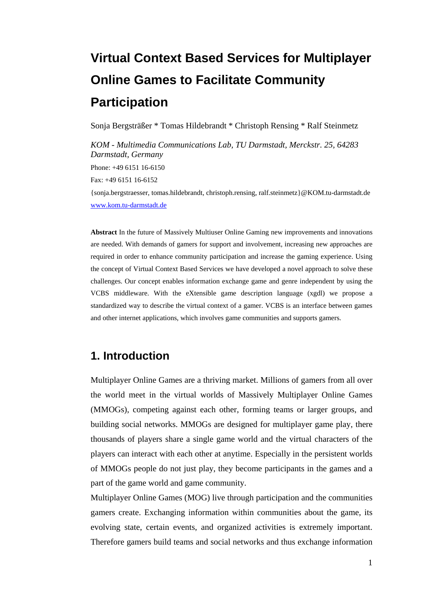# **Virtual Context Based Services for Multiplayer Online Games to Facilitate Community Participation**

Sonja Bergsträßer \* Tomas Hildebrandt \* Christoph Rensing \* Ralf Steinmetz

*KOM - Multimedia Communications Lab, TU Darmstadt, Merckstr. 25, 64283 Darmstadt, Germany*  Phone: +49 6151 16-6150 Fax: +49 6151 16-6152 {sonja.bergstraesser, tomas.hildebrandt, christoph.rensing, ralf.steinmetz}@KOM.tu-darmstadt.de www.kom.tu-darmstadt.de

**Abstract** In the future of Massively Multiuser Online Gaming new improvements and innovations are needed. With demands of gamers for support and involvement, increasing new approaches are required in order to enhance community participation and increase the gaming experience. Using the concept of Virtual Context Based Services we have developed a novel approach to solve these challenges. Our concept enables information exchange game and genre independent by using the VCBS middleware. With the eXtensible game description language (xgdl) we propose a standardized way to describe the virtual context of a gamer. VCBS is an interface between games and other internet applications, which involves game communities and supports gamers.

## **1. Introduction**

Multiplayer Online Games are a thriving market. Millions of gamers from all over the world meet in the virtual worlds of Massively Multiplayer Online Games (MMOGs), competing against each other, forming teams or larger groups, and building social networks. MMOGs are designed for multiplayer game play, there thousands of players share a single game world and the virtual characters of the players can interact with each other at anytime. Especially in the persistent worlds of MMOGs people do not just play, they become participants in the games and a part of the game world and game community.

Multiplayer Online Games (MOG) live through participation and the communities gamers create. Exchanging information within communities about the game, its evolving state, certain events, and organized activities is extremely important. Therefore gamers build teams and social networks and thus exchange information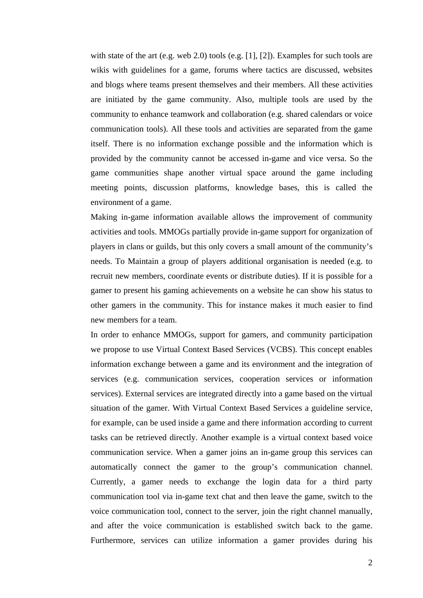with state of the art (e.g. web 2.0) tools (e.g. [1], [2]). Examples for such tools are wikis with guidelines for a game, forums where tactics are discussed, websites and blogs where teams present themselves and their members. All these activities are initiated by the game community. Also, multiple tools are used by the community to enhance teamwork and collaboration (e.g. shared calendars or voice communication tools). All these tools and activities are separated from the game itself. There is no information exchange possible and the information which is provided by the community cannot be accessed in-game and vice versa. So the game communities shape another virtual space around the game including meeting points, discussion platforms, knowledge bases, this is called the environment of a game.

Making in-game information available allows the improvement of community activities and tools. MMOGs partially provide in-game support for organization of players in clans or guilds, but this only covers a small amount of the community's needs. To Maintain a group of players additional organisation is needed (e.g. to recruit new members, coordinate events or distribute duties). If it is possible for a gamer to present his gaming achievements on a website he can show his status to other gamers in the community. This for instance makes it much easier to find new members for a team.

In order to enhance MMOGs, support for gamers, and community participation we propose to use Virtual Context Based Services (VCBS). This concept enables information exchange between a game and its environment and the integration of services (e.g. communication services, cooperation services or information services). External services are integrated directly into a game based on the virtual situation of the gamer. With Virtual Context Based Services a guideline service, for example, can be used inside a game and there information according to current tasks can be retrieved directly. Another example is a virtual context based voice communication service. When a gamer joins an in-game group this services can automatically connect the gamer to the group's communication channel. Currently, a gamer needs to exchange the login data for a third party communication tool via in-game text chat and then leave the game, switch to the voice communication tool, connect to the server, join the right channel manually, and after the voice communication is established switch back to the game. Furthermore, services can utilize information a gamer provides during his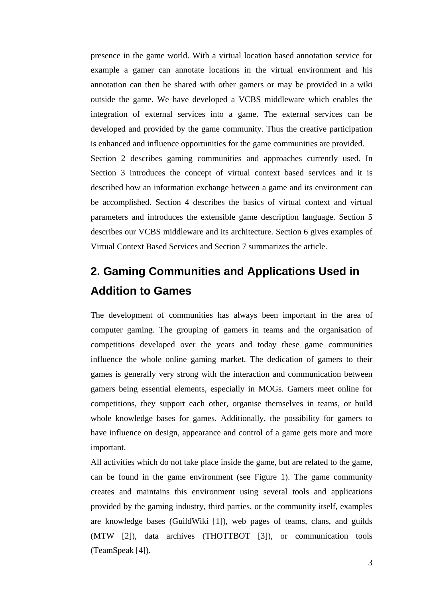presence in the game world. With a virtual location based annotation service for example a gamer can annotate locations in the virtual environment and his annotation can then be shared with other gamers or may be provided in a wiki outside the game. We have developed a VCBS middleware which enables the integration of external services into a game. The external services can be developed and provided by the game community. Thus the creative participation is enhanced and influence opportunities for the game communities are provided.

Section 2 describes gaming communities and approaches currently used. In Section 3 introduces the concept of virtual context based services and it is described how an information exchange between a game and its environment can be accomplished. Section 4 describes the basics of virtual context and virtual parameters and introduces the extensible game description language. Section 5 describes our VCBS middleware and its architecture. Section 6 gives examples of Virtual Context Based Services and Section 7 summarizes the article.

## **2. Gaming Communities and Applications Used in Addition to Games**

The development of communities has always been important in the area of computer gaming. The grouping of gamers in teams and the organisation of competitions developed over the years and today these game communities influence the whole online gaming market. The dedication of gamers to their games is generally very strong with the interaction and communication between gamers being essential elements, especially in MOGs. Gamers meet online for competitions, they support each other, organise themselves in teams, or build whole knowledge bases for games. Additionally, the possibility for gamers to have influence on design, appearance and control of a game gets more and more important.

All activities which do not take place inside the game, but are related to the game, can be found in the game environment (see Figure 1). The game community creates and maintains this environment using several tools and applications provided by the gaming industry, third parties, or the community itself, examples are knowledge bases (GuildWiki [1]), web pages of teams, clans, and guilds (MTW [2]), data archives (THOTTBOT [3]), or communication tools (TeamSpeak [4]).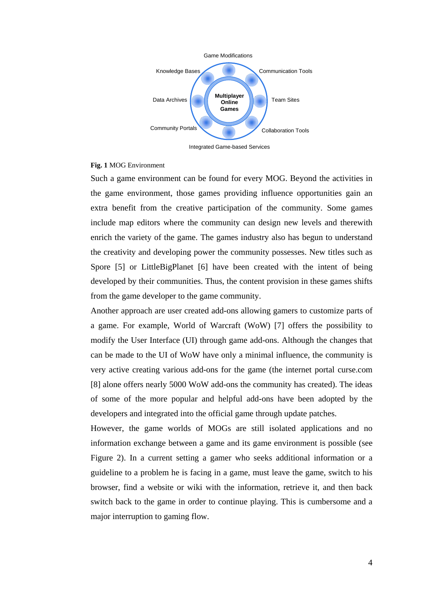

Integrated Game-based Services

#### **Fig. 1** MOG Environment

Such a game environment can be found for every MOG. Beyond the activities in the game environment, those games providing influence opportunities gain an extra benefit from the creative participation of the community. Some games include map editors where the community can design new levels and therewith enrich the variety of the game. The games industry also has begun to understand the creativity and developing power the community possesses. New titles such as Spore [5] or LittleBigPlanet [6] have been created with the intent of being developed by their communities. Thus, the content provision in these games shifts from the game developer to the game community.

Another approach are user created add-ons allowing gamers to customize parts of a game. For example, World of Warcraft (WoW) [7] offers the possibility to modify the User Interface (UI) through game add-ons. Although the changes that can be made to the UI of WoW have only a minimal influence, the community is very active creating various add-ons for the game (the internet portal curse.com [8] alone offers nearly 5000 WoW add-ons the community has created). The ideas of some of the more popular and helpful add-ons have been adopted by the developers and integrated into the official game through update patches.

However, the game worlds of MOGs are still isolated applications and no information exchange between a game and its game environment is possible (see Figure 2). In a current setting a gamer who seeks additional information or a guideline to a problem he is facing in a game, must leave the game, switch to his browser, find a website or wiki with the information, retrieve it, and then back switch back to the game in order to continue playing. This is cumbersome and a major interruption to gaming flow.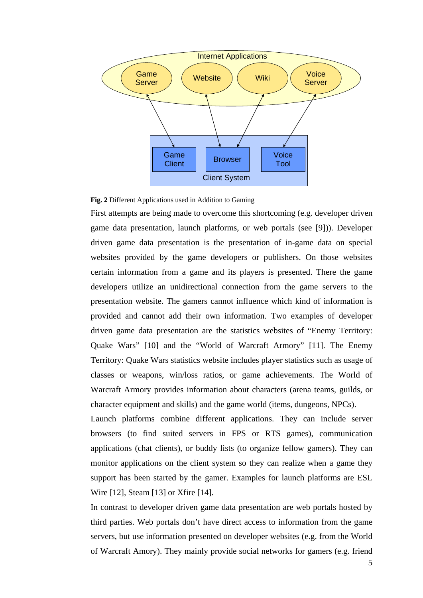

**Fig. 2** Different Applications used in Addition to Gaming

First attempts are being made to overcome this shortcoming (e.g. developer driven game data presentation, launch platforms, or web portals (see [9])). Developer driven game data presentation is the presentation of in-game data on special websites provided by the game developers or publishers. On those websites certain information from a game and its players is presented. There the game developers utilize an unidirectional connection from the game servers to the presentation website. The gamers cannot influence which kind of information is provided and cannot add their own information. Two examples of developer driven game data presentation are the statistics websites of "Enemy Territory: Quake Wars" [10] and the "World of Warcraft Armory" [11]. The Enemy Territory: Quake Wars statistics website includes player statistics such as usage of classes or weapons, win/loss ratios, or game achievements. The World of Warcraft Armory provides information about characters (arena teams, guilds, or character equipment and skills) and the game world (items, dungeons, NPCs).

Launch platforms combine different applications. They can include server browsers (to find suited servers in FPS or RTS games), communication applications (chat clients), or buddy lists (to organize fellow gamers). They can monitor applications on the client system so they can realize when a game they support has been started by the gamer. Examples for launch platforms are ESL Wire [12], Steam [13] or Xfire [14].

In contrast to developer driven game data presentation are web portals hosted by third parties. Web portals don't have direct access to information from the game servers, but use information presented on developer websites (e.g. from the World of Warcraft Amory). They mainly provide social networks for gamers (e.g. friend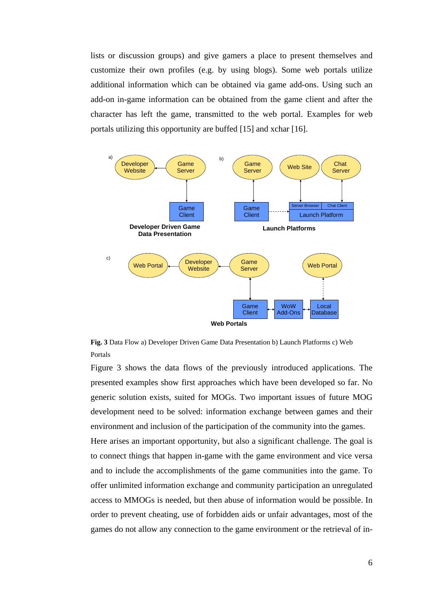lists or discussion groups) and give gamers a place to present themselves and customize their own profiles (e.g. by using blogs). Some web portals utilize additional information which can be obtained via game add-ons. Using such an add-on in-game information can be obtained from the game client and after the character has left the game, transmitted to the web portal. Examples for web portals utilizing this opportunity are buffed [15] and xchar [16].



**Fig. 3** Data Flow a) Developer Driven Game Data Presentation b) Launch Platforms c) Web Portals

Figure 3 shows the data flows of the previously introduced applications. The presented examples show first approaches which have been developed so far. No generic solution exists, suited for MOGs. Two important issues of future MOG development need to be solved: information exchange between games and their environment and inclusion of the participation of the community into the games.

Here arises an important opportunity, but also a significant challenge. The goal is to connect things that happen in-game with the game environment and vice versa and to include the accomplishments of the game communities into the game. To offer unlimited information exchange and community participation an unregulated access to MMOGs is needed, but then abuse of information would be possible. In order to prevent cheating, use of forbidden aids or unfair advantages, most of the games do not allow any connection to the game environment or the retrieval of in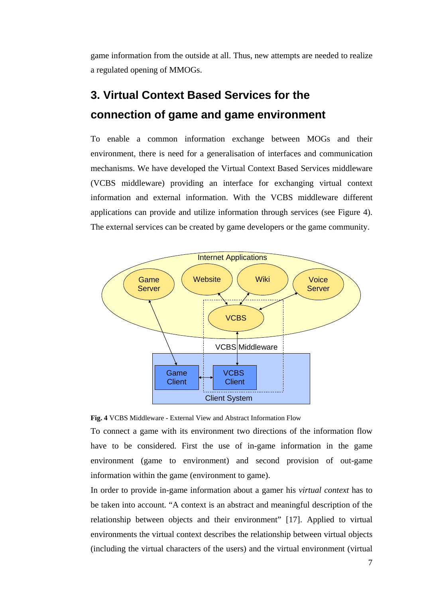game information from the outside at all. Thus, new attempts are needed to realize a regulated opening of MMOGs.

## **3. Virtual Context Based Services for the connection of game and game environment**

To enable a common information exchange between MOGs and their environment, there is need for a generalisation of interfaces and communication mechanisms. We have developed the Virtual Context Based Services middleware (VCBS middleware) providing an interface for exchanging virtual context information and external information. With the VCBS middleware different applications can provide and utilize information through services (see Figure 4). The external services can be created by game developers or the game community.



**Fig. 4** VCBS Middleware - External View and Abstract Information Flow

To connect a game with its environment two directions of the information flow have to be considered. First the use of in-game information in the game environment (game to environment) and second provision of out-game information within the game (environment to game).

In order to provide in-game information about a gamer his *virtual context* has to be taken into account. "A context is an abstract and meaningful description of the relationship between objects and their environment" [17]. Applied to virtual environments the virtual context describes the relationship between virtual objects (including the virtual characters of the users) and the virtual environment (virtual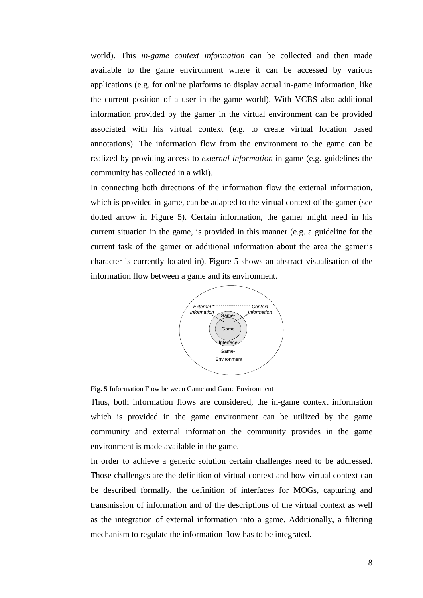world). This *in-game context information* can be collected and then made available to the game environment where it can be accessed by various applications (e.g. for online platforms to display actual in-game information, like the current position of a user in the game world). With VCBS also additional information provided by the gamer in the virtual environment can be provided associated with his virtual context (e.g. to create virtual location based annotations). The information flow from the environment to the game can be realized by providing access to *external information* in-game (e.g. guidelines the community has collected in a wiki).

In connecting both directions of the information flow the external information, which is provided in-game, can be adapted to the virtual context of the gamer (see dotted arrow in Figure 5). Certain information, the gamer might need in his current situation in the game, is provided in this manner (e.g. a guideline for the current task of the gamer or additional information about the area the gamer's character is currently located in). Figure 5 shows an abstract visualisation of the information flow between a game and its environment.



**Fig. 5** Information Flow between Game and Game Environment

Thus, both information flows are considered, the in-game context information which is provided in the game environment can be utilized by the game community and external information the community provides in the game environment is made available in the game.

In order to achieve a generic solution certain challenges need to be addressed. Those challenges are the definition of virtual context and how virtual context can be described formally, the definition of interfaces for MOGs, capturing and transmission of information and of the descriptions of the virtual context as well as the integration of external information into a game. Additionally, a filtering mechanism to regulate the information flow has to be integrated.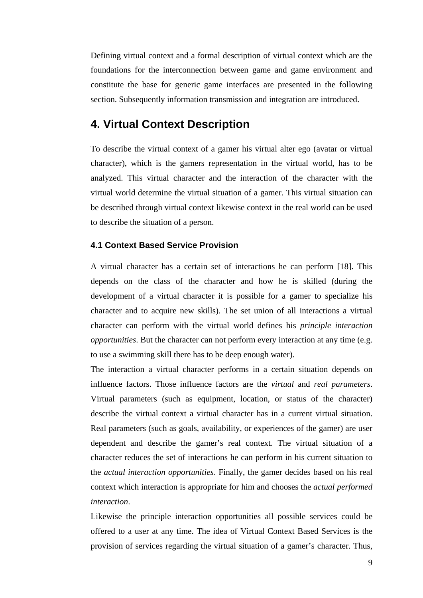Defining virtual context and a formal description of virtual context which are the foundations for the interconnection between game and game environment and constitute the base for generic game interfaces are presented in the following section. Subsequently information transmission and integration are introduced.

## **4. Virtual Context Description**

To describe the virtual context of a gamer his virtual alter ego (avatar or virtual character), which is the gamers representation in the virtual world, has to be analyzed. This virtual character and the interaction of the character with the virtual world determine the virtual situation of a gamer. This virtual situation can be described through virtual context likewise context in the real world can be used to describe the situation of a person.

### **4.1 Context Based Service Provision**

A virtual character has a certain set of interactions he can perform [18]. This depends on the class of the character and how he is skilled (during the development of a virtual character it is possible for a gamer to specialize his character and to acquire new skills). The set union of all interactions a virtual character can perform with the virtual world defines his *principle interaction opportunities*. But the character can not perform every interaction at any time (e.g. to use a swimming skill there has to be deep enough water).

The interaction a virtual character performs in a certain situation depends on influence factors. Those influence factors are the *virtual* and *real parameters*. Virtual parameters (such as equipment, location, or status of the character) describe the virtual context a virtual character has in a current virtual situation. Real parameters (such as goals, availability, or experiences of the gamer) are user dependent and describe the gamer's real context. The virtual situation of a character reduces the set of interactions he can perform in his current situation to the *actual interaction opportunities*. Finally, the gamer decides based on his real context which interaction is appropriate for him and chooses the *actual performed interaction*.

Likewise the principle interaction opportunities all possible services could be offered to a user at any time. The idea of Virtual Context Based Services is the provision of services regarding the virtual situation of a gamer's character. Thus,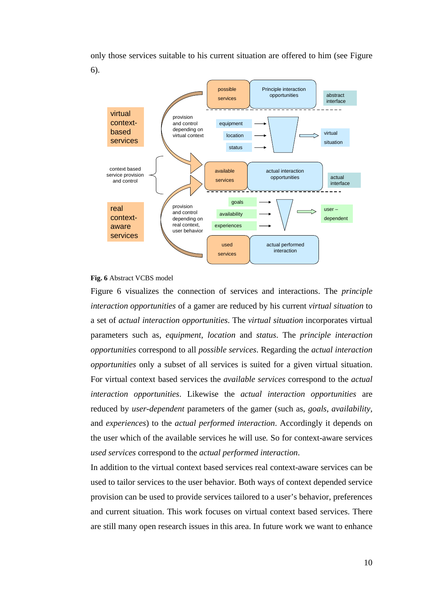only those services suitable to his current situation are offered to him (see Figure 6).



### **Fig. 6** Abstract VCBS model

Figure 6 visualizes the connection of services and interactions. The *principle interaction opportunities* of a gamer are reduced by his current *virtual situation* to a set of *actual interaction opportunities*. The *virtual situation* incorporates virtual parameters such as, *equipment*, *location* and *status*. The *principle interaction opportunities* correspond to all *possible services*. Regarding the *actual interaction opportunities* only a subset of all services is suited for a given virtual situation. For virtual context based services the *available services* correspond to the *actual interaction opportunities*. Likewise the *actual interaction opportunities* are reduced by *user-dependent* parameters of the gamer (such as, *goals*, *availability,* and *experiences*) to the *actual performed interaction*. Accordingly it depends on the user which of the available services he will use*.* So for context-aware services *used services* correspond to the *actual performed interaction*.

In addition to the virtual context based services real context-aware services can be used to tailor services to the user behavior. Both ways of context depended service provision can be used to provide services tailored to a user's behavior, preferences and current situation. This work focuses on virtual context based services. There are still many open research issues in this area. In future work we want to enhance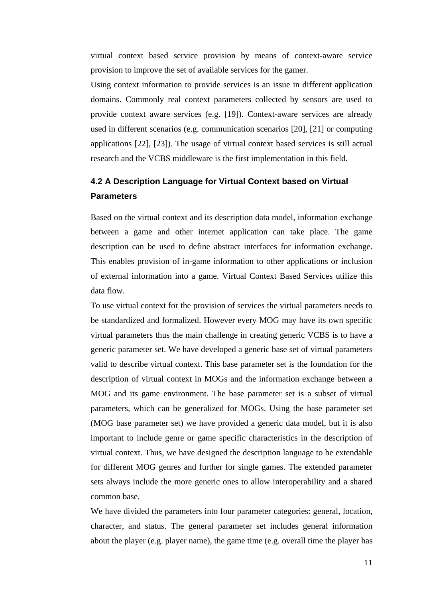virtual context based service provision by means of context-aware service provision to improve the set of available services for the gamer.

Using context information to provide services is an issue in different application domains. Commonly real context parameters collected by sensors are used to provide context aware services (e.g. [19]). Context-aware services are already used in different scenarios (e.g. communication scenarios [20], [21] or computing applications [22], [23]). The usage of virtual context based services is still actual research and the VCBS middleware is the first implementation in this field.

## **4.2 A Description Language for Virtual Context based on Virtual Parameters**

Based on the virtual context and its description data model, information exchange between a game and other internet application can take place. The game description can be used to define abstract interfaces for information exchange. This enables provision of in-game information to other applications or inclusion of external information into a game. Virtual Context Based Services utilize this data flow.

To use virtual context for the provision of services the virtual parameters needs to be standardized and formalized. However every MOG may have its own specific virtual parameters thus the main challenge in creating generic VCBS is to have a generic parameter set. We have developed a generic base set of virtual parameters valid to describe virtual context. This base parameter set is the foundation for the description of virtual context in MOGs and the information exchange between a MOG and its game environment. The base parameter set is a subset of virtual parameters, which can be generalized for MOGs. Using the base parameter set (MOG base parameter set) we have provided a generic data model, but it is also important to include genre or game specific characteristics in the description of virtual context. Thus, we have designed the description language to be extendable for different MOG genres and further for single games. The extended parameter sets always include the more generic ones to allow interoperability and a shared common base.

We have divided the parameters into four parameter categories: general, location, character, and status. The general parameter set includes general information about the player (e.g. player name), the game time (e.g. overall time the player has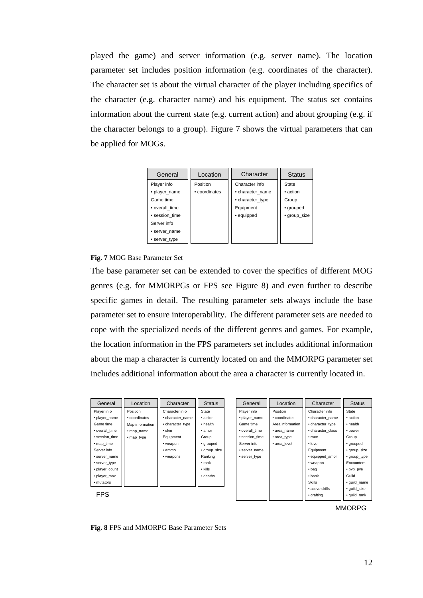played the game) and server information (e.g. server name). The location parameter set includes position information (e.g. coordinates of the character). The character set is about the virtual character of the player including specifics of the character (e.g. character name) and his equipment. The status set contains information about the current state (e.g. current action) and about grouping (e.g. if the character belongs to a group). Figure 7 shows the virtual parameters that can be applied for MOGs.

| General        | Location      | Character        | <b>Status</b>    |
|----------------|---------------|------------------|------------------|
| Player info    | Position      | Character info   | State            |
| • player_name  | • coordinates | • character name | $\bullet$ action |
| Game time      |               | • character type | Group            |
| • overall time |               | Equipment        | • grouped        |
| · session time |               | • equipped       | • group_size     |
| Server info    |               |                  |                  |
| • server name  |               |                  |                  |
| • server type  |               |                  |                  |

#### **Fig. 7** MOG Base Parameter Set

The base parameter set can be extended to cover the specifics of different MOG genres (e.g. for MMORPGs or FPS see Figure 8) and even further to describe specific games in detail. The resulting parameter sets always include the base parameter set to ensure interoperability. The different parameter sets are needed to cope with the specialized needs of the different genres and games. For example, the location information in the FPS parameters set includes additional information about the map a character is currently located on and the MMORPG parameter set includes additional information about the area a character is currently located in.

| General        | Location        | Character        | <b>Status</b>  | General        | Location         | Character         | Status           |
|----------------|-----------------|------------------|----------------|----------------|------------------|-------------------|------------------|
| Player info    | Position        | Character info   | State          | Player info    | Position         | Character info    | State            |
| · player_name  | • coordinates   | • character name | • action       | · player name  | • coordinates    | • character name  | • action         |
| Game time      | Map information | • character type | • health       | Game time      | Area information | • character_type  | • health         |
| · overall time | • map name      | $\cdot$ skin     | • amor         | • overall time | • area name      | • character class | • power          |
| · session time | • map_type      | Equipment        | Group          | · session time | • area type      | $\cdot$ race      | Group            |
| • map time     |                 | • weapon         | • grouped      | Server info    | • area level     | • level           | • grouped        |
| Server info    |                 | • ammo           | • group size   | • server name  |                  | Equipment         | • group_si:      |
| • server name  |                 | • weapons        | Ranking        | • server type  |                  | • equipped amor   | • group_ty       |
| • server_type  |                 |                  | $\bullet$ rank |                |                  | • weapon          | <b>Encounter</b> |
| • player count |                 |                  | • kills        |                |                  | $\cdot$ bag       | • pvp_pve        |
| · player max   |                 |                  | • deaths       |                |                  | $\bullet$ bank    | Guild            |
| • mutators     |                 |                  |                |                |                  | <b>Skills</b>     | · quild nar      |
|                |                 |                  |                |                |                  | • active skills   | · quild size     |
| FPS            |                 |                  |                |                |                  | • crafting        | · quild ran      |

| General        | Location         | Character         | <b>Status</b>    |  |
|----------------|------------------|-------------------|------------------|--|
| Player info    | Position         | Character info    | State            |  |
| · player name  | • coordinates    | · character name  | $\bullet$ action |  |
| Game time      | Area information | • character_type  | • health         |  |
| • overall time | • area name      | • character class | • power          |  |
| · session time | • area type      | • race            | Group            |  |
| Server info    | • area level     | · level           | • grouped        |  |
| • server name  |                  | Equipment         | • group size     |  |
| • server type  |                  | • equipped amor   | • group_type     |  |
|                |                  | • weapon          | Encounters       |  |
|                |                  | $\bullet$ bag     | • pvp_pve        |  |
|                |                  | • bank            | Guild            |  |
|                |                  | <b>Skills</b>     | · guild_name     |  |
|                |                  | · active skills   | • quild size     |  |
|                |                  | • crafting        | · quild rank     |  |

MMORPG

**Fig. 8** FPS and MMORPG Base Parameter Sets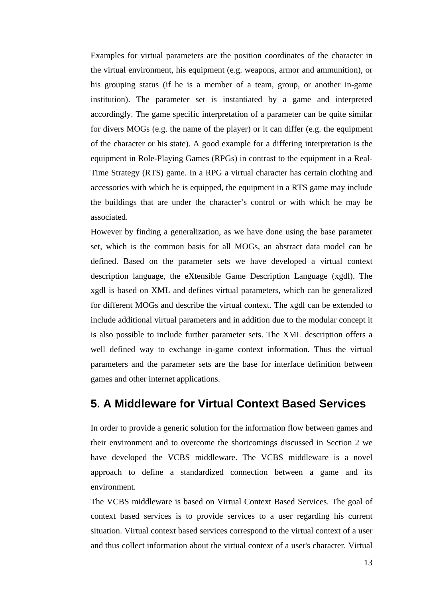Examples for virtual parameters are the position coordinates of the character in the virtual environment, his equipment (e.g. weapons, armor and ammunition), or his grouping status (if he is a member of a team, group, or another in-game institution). The parameter set is instantiated by a game and interpreted accordingly. The game specific interpretation of a parameter can be quite similar for divers MOGs (e.g. the name of the player) or it can differ (e.g. the equipment of the character or his state). A good example for a differing interpretation is the equipment in Role-Playing Games (RPGs) in contrast to the equipment in a Real-Time Strategy (RTS) game. In a RPG a virtual character has certain clothing and accessories with which he is equipped, the equipment in a RTS game may include the buildings that are under the character's control or with which he may be associated.

However by finding a generalization, as we have done using the base parameter set, which is the common basis for all MOGs, an abstract data model can be defined. Based on the parameter sets we have developed a virtual context description language, the eXtensible Game Description Language (xgdl). The xgdl is based on XML and defines virtual parameters, which can be generalized for different MOGs and describe the virtual context. The xgdl can be extended to include additional virtual parameters and in addition due to the modular concept it is also possible to include further parameter sets. The XML description offers a well defined way to exchange in-game context information. Thus the virtual parameters and the parameter sets are the base for interface definition between games and other internet applications.

## **5. A Middleware for Virtual Context Based Services**

In order to provide a generic solution for the information flow between games and their environment and to overcome the shortcomings discussed in Section 2 we have developed the VCBS middleware. The VCBS middleware is a novel approach to define a standardized connection between a game and its environment.

The VCBS middleware is based on Virtual Context Based Services. The goal of context based services is to provide services to a user regarding his current situation. Virtual context based services correspond to the virtual context of a user and thus collect information about the virtual context of a user's character. Virtual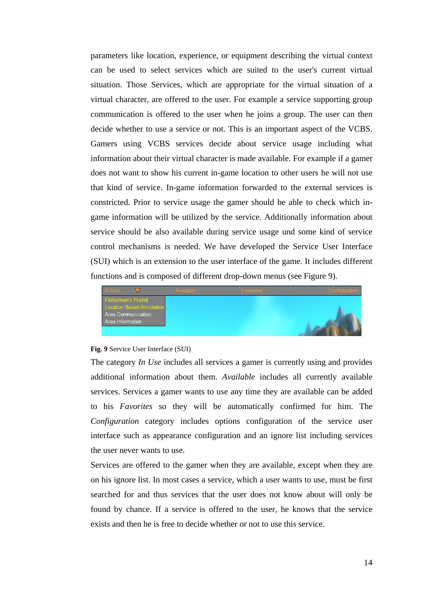parameters like location, experience, or equipment describing the virtual context can be used to select services which are suited to the user's current virtual situation. Those Services, which are appropriate for the virtual situation of a virtual character, are offered to the user. For example a service supporting group communication is offered to the user when he joins a group. The user can then decide whether to use a service or not. This is an important aspect of the VCBS. Gamers using VCBS services decide about service usage including what information about their virtual character is made available. For example if a gamer does not want to show his current in-game location to other users he will not use that kind of service. In-game information forwarded to the external services is constricted. Prior to service usage the gamer should be able to check which ingame information will be utilized by the service. Additionally information about service should be also available during service usage und some kind of service control mechanisms is needed. We have developed the Service User Interface (SUI) which is an extension to the user interface of the game. It includes different functions and is composed of different drop-down menus (see Figure 9).



#### **Fig. 9** Service User Interface (SUI)

The category *In Use* includes all services a gamer is currently using and provides additional information about them. *Available* includes all currently available services. Services a gamer wants to use any time they are available can be added to his *Favorites* so they will be automatically confirmed for him. The *Configuration* category includes options configuration of the service user interface such as appearance configuration and an ignore list including services the user never wants to use.

Services are offered to the gamer when they are available, except when they are on his ignore list. In most cases a service, which a user wants to use, must be first searched for and thus services that the user does not know about will only be found by chance. If a service is offered to the user, he knows that the service exists and then he is free to decide whether or not to use this service.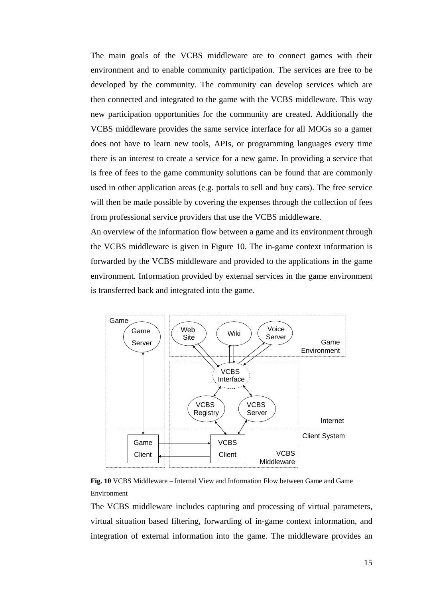The main goals of the VCBS middleware are to connect games with their environment and to enable community participation. The services are free to be developed by the community. The community can develop services which are then connected and integrated to the game with the VCBS middleware. This way new participation opportunities for the community are created. Additionally the VCBS middleware provides the same service interface for all MOGs so a gamer does not have to learn new tools, APIs, or programming languages every time there is an interest to create a service for a new game. In providing a service that is free of fees to the game community solutions can be found that are commonly used in other application areas (e.g. portals to sell and buy cars). The free service will then be made possible by covering the expenses through the collection of fees from professional service providers that use the VCBS middleware.

An overview of the information flow between a game and its environment through the VCBS middleware is given in Figure 10. The in-game context information is forwarded by the VCBS middleware and provided to the applications in the game environment. Information provided by external services in the game environment is transferred back and integrated into the game.



**Fig. 10** VCBS Middleware – Internal View and Information Flow between Game and Game Environment

The VCBS middleware includes capturing and processing of virtual parameters, virtual situation based filtering, forwarding of in-game context information, and integration of external information into the game. The middleware provides an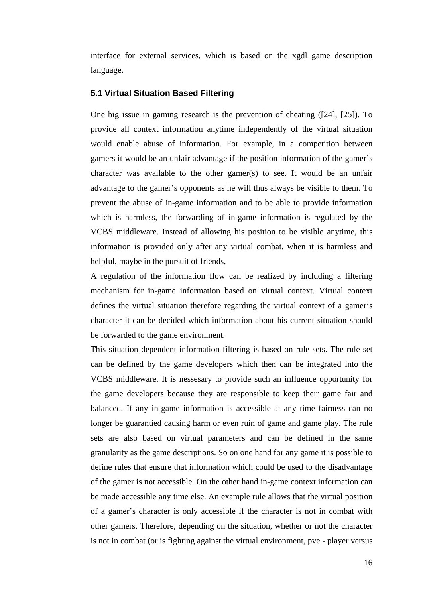interface for external services, which is based on the xgdl game description language.

#### **5.1 Virtual Situation Based Filtering**

One big issue in gaming research is the prevention of cheating ([24], [25]). To provide all context information anytime independently of the virtual situation would enable abuse of information. For example, in a competition between gamers it would be an unfair advantage if the position information of the gamer's character was available to the other gamer(s) to see. It would be an unfair advantage to the gamer's opponents as he will thus always be visible to them. To prevent the abuse of in-game information and to be able to provide information which is harmless, the forwarding of in-game information is regulated by the VCBS middleware. Instead of allowing his position to be visible anytime, this information is provided only after any virtual combat, when it is harmless and helpful, maybe in the pursuit of friends,

A regulation of the information flow can be realized by including a filtering mechanism for in-game information based on virtual context. Virtual context defines the virtual situation therefore regarding the virtual context of a gamer's character it can be decided which information about his current situation should be forwarded to the game environment.

This situation dependent information filtering is based on rule sets. The rule set can be defined by the game developers which then can be integrated into the VCBS middleware. It is nessesary to provide such an influence opportunity for the game developers because they are responsible to keep their game fair and balanced. If any in-game information is accessible at any time fairness can no longer be guarantied causing harm or even ruin of game and game play. The rule sets are also based on virtual parameters and can be defined in the same granularity as the game descriptions. So on one hand for any game it is possible to define rules that ensure that information which could be used to the disadvantage of the gamer is not accessible. On the other hand in-game context information can be made accessible any time else. An example rule allows that the virtual position of a gamer's character is only accessible if the character is not in combat with other gamers. Therefore, depending on the situation, whether or not the character is not in combat (or is fighting against the virtual environment, pve - player versus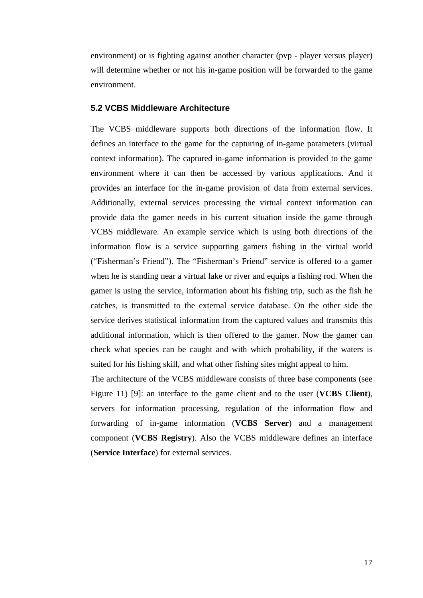environment) or is fighting against another character (pvp - player versus player) will determine whether or not his in-game position will be forwarded to the game environment.

#### **5.2 VCBS Middleware Architecture**

The VCBS middleware supports both directions of the information flow. It defines an interface to the game for the capturing of in-game parameters (virtual context information). The captured in-game information is provided to the game environment where it can then be accessed by various applications. And it provides an interface for the in-game provision of data from external services. Additionally, external services processing the virtual context information can provide data the gamer needs in his current situation inside the game through VCBS middleware. An example service which is using both directions of the information flow is a service supporting gamers fishing in the virtual world ("Fisherman's Friend"). The "Fisherman's Friend" service is offered to a gamer when he is standing near a virtual lake or river and equips a fishing rod. When the gamer is using the service, information about his fishing trip, such as the fish he catches, is transmitted to the external service database. On the other side the service derives statistical information from the captured values and transmits this additional information, which is then offered to the gamer. Now the gamer can check what species can be caught and with which probability, if the waters is suited for his fishing skill, and what other fishing sites might appeal to him.

The architecture of the VCBS middleware consists of three base components (see Figure 11) [9]: an interface to the game client and to the user (**VCBS Client**), servers for information processing, regulation of the information flow and forwarding of in-game information (**VCBS Server**) and a management component (**VCBS Registry**). Also the VCBS middleware defines an interface (**Service Interface**) for external services.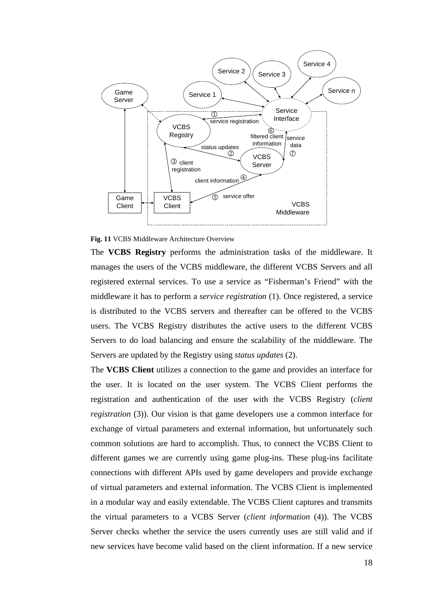

**Fig. 11** VCBS Middleware Architecture Overview

The **VCBS Registry** performs the administration tasks of the middleware. It manages the users of the VCBS middleware, the different VCBS Servers and all registered external services. To use a service as "Fisherman's Friend" with the middleware it has to perform a *service registration* (1). Once registered, a service is distributed to the VCBS servers and thereafter can be offered to the VCBS users. The VCBS Registry distributes the active users to the different VCBS Servers to do load balancing and ensure the scalability of the middleware. The Servers are updated by the Registry using *status updates* (2).

The **VCBS Client** utilizes a connection to the game and provides an interface for the user. It is located on the user system. The VCBS Client performs the registration and authentication of the user with the VCBS Registry (*client registration* (3)). Our vision is that game developers use a common interface for exchange of virtual parameters and external information, but unfortunately such common solutions are hard to accomplish. Thus, to connect the VCBS Client to different games we are currently using game plug-ins. These plug-ins facilitate connections with different APIs used by game developers and provide exchange of virtual parameters and external information. The VCBS Client is implemented in a modular way and easily extendable. The VCBS Client captures and transmits the virtual parameters to a VCBS Server (*client information* (4)). The VCBS Server checks whether the service the users currently uses are still valid and if new services have become valid based on the client information. If a new service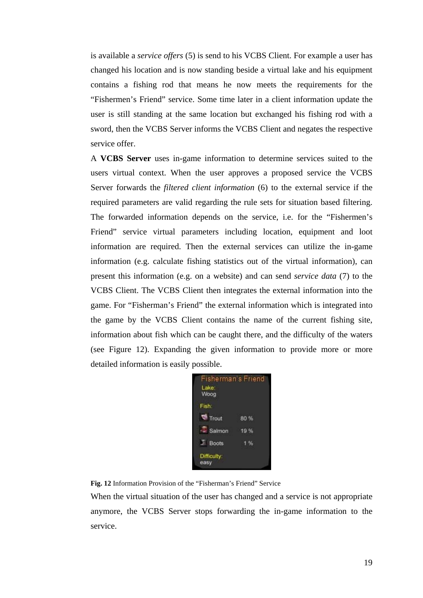is available a *service offers* (5) is send to his VCBS Client. For example a user has changed his location and is now standing beside a virtual lake and his equipment contains a fishing rod that means he now meets the requirements for the "Fishermen's Friend" service. Some time later in a client information update the user is still standing at the same location but exchanged his fishing rod with a sword, then the VCBS Server informs the VCBS Client and negates the respective service offer.

A **VCBS Server** uses in-game information to determine services suited to the users virtual context. When the user approves a proposed service the VCBS Server forwards the *filtered client information* (6) to the external service if the required parameters are valid regarding the rule sets for situation based filtering. The forwarded information depends on the service, i.e. for the "Fishermen's Friend" service virtual parameters including location, equipment and loot information are required. Then the external services can utilize the in-game information (e.g. calculate fishing statistics out of the virtual information), can present this information (e.g. on a website) and can send *service data* (7) to the VCBS Client. The VCBS Client then integrates the external information into the game. For "Fisherman's Friend" the external information which is integrated into the game by the VCBS Client contains the name of the current fishing site, information about fish which can be caught there, and the difficulty of the waters (see Figure 12). Expanding the given information to provide more or more detailed information is easily possible.



**Fig. 12** Information Provision of the "Fisherman's Friend" Service

When the virtual situation of the user has changed and a service is not appropriate anymore, the VCBS Server stops forwarding the in-game information to the service.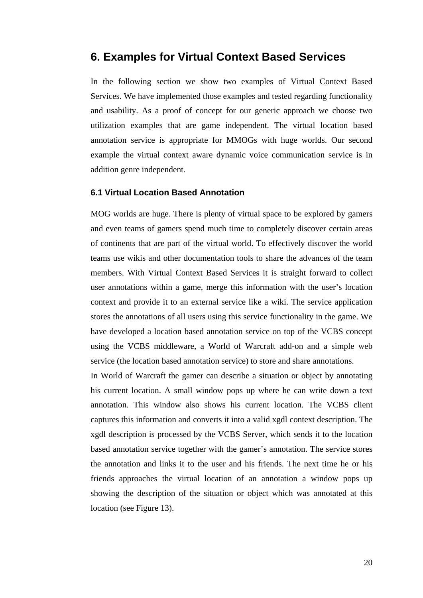## **6. Examples for Virtual Context Based Services**

In the following section we show two examples of Virtual Context Based Services. We have implemented those examples and tested regarding functionality and usability. As a proof of concept for our generic approach we choose two utilization examples that are game independent. The virtual location based annotation service is appropriate for MMOGs with huge worlds. Our second example the virtual context aware dynamic voice communication service is in addition genre independent.

#### **6.1 Virtual Location Based Annotation**

MOG worlds are huge. There is plenty of virtual space to be explored by gamers and even teams of gamers spend much time to completely discover certain areas of continents that are part of the virtual world. To effectively discover the world teams use wikis and other documentation tools to share the advances of the team members. With Virtual Context Based Services it is straight forward to collect user annotations within a game, merge this information with the user's location context and provide it to an external service like a wiki. The service application stores the annotations of all users using this service functionality in the game. We have developed a location based annotation service on top of the VCBS concept using the VCBS middleware, a World of Warcraft add-on and a simple web service (the location based annotation service) to store and share annotations.

In World of Warcraft the gamer can describe a situation or object by annotating his current location. A small window pops up where he can write down a text annotation. This window also shows his current location. The VCBS client captures this information and converts it into a valid xgdl context description. The xgdl description is processed by the VCBS Server, which sends it to the location based annotation service together with the gamer's annotation. The service stores the annotation and links it to the user and his friends. The next time he or his friends approaches the virtual location of an annotation a window pops up showing the description of the situation or object which was annotated at this location (see Figure 13).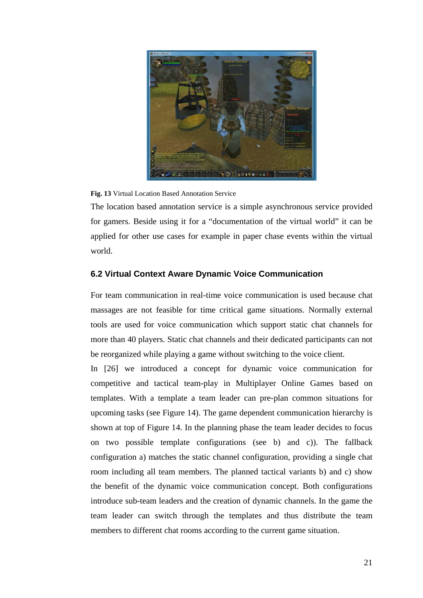

**Fig. 13** Virtual Location Based Annotation Service

The location based annotation service is a simple asynchronous service provided for gamers. Beside using it for a "documentation of the virtual world" it can be applied for other use cases for example in paper chase events within the virtual world.

### **6.2 Virtual Context Aware Dynamic Voice Communication**

For team communication in real-time voice communication is used because chat massages are not feasible for time critical game situations. Normally external tools are used for voice communication which support static chat channels for more than 40 players. Static chat channels and their dedicated participants can not be reorganized while playing a game without switching to the voice client.

In [26] we introduced a concept for dynamic voice communication for competitive and tactical team-play in Multiplayer Online Games based on templates. With a template a team leader can pre-plan common situations for upcoming tasks (see Figure 14). The game dependent communication hierarchy is shown at top of Figure 14. In the planning phase the team leader decides to focus on two possible template configurations (see b) and c)). The fallback configuration a) matches the static channel configuration, providing a single chat room including all team members. The planned tactical variants b) and c) show the benefit of the dynamic voice communication concept. Both configurations introduce sub-team leaders and the creation of dynamic channels. In the game the team leader can switch through the templates and thus distribute the team members to different chat rooms according to the current game situation.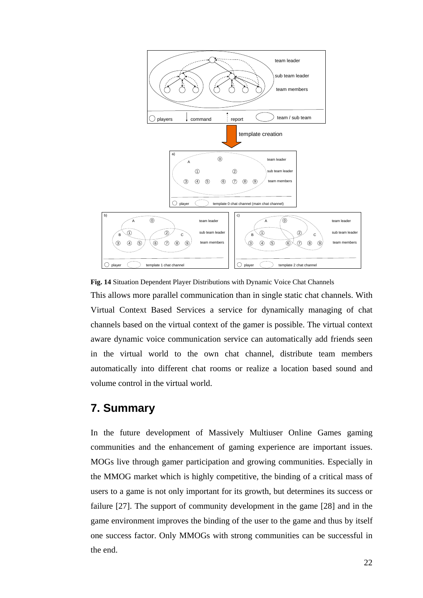

This allows more parallel communication than in single static chat channels. With Virtual Context Based Services a service for dynamically managing of chat channels based on the virtual context of the gamer is possible. The virtual context aware dynamic voice communication service can automatically add friends seen in the virtual world to the own chat channel, distribute team members automatically into different chat rooms or realize a location based sound and volume control in the virtual world.

## **7. Summary**

In the future development of Massively Multiuser Online Games gaming communities and the enhancement of gaming experience are important issues. MOGs live through gamer participation and growing communities. Especially in the MMOG market which is highly competitive, the binding of a critical mass of users to a game is not only important for its growth, but determines its success or failure [27]. The support of community development in the game [28] and in the game environment improves the binding of the user to the game and thus by itself one success factor. Only MMOGs with strong communities can be successful in the end.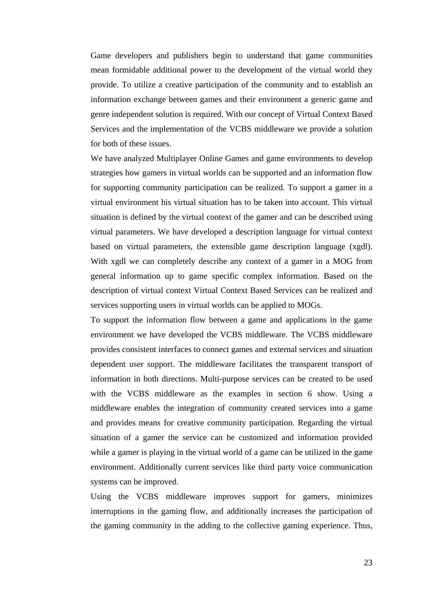Game developers and publishers begin to understand that game communities mean formidable additional power to the development of the virtual world they provide. To utilize a creative participation of the community and to establish an information exchange between games and their environment a generic game and genre independent solution is required. With our concept of Virtual Context Based Services and the implementation of the VCBS middleware we provide a solution for both of these issues.

We have analyzed Multiplayer Online Games and game environments to develop strategies how gamers in virtual worlds can be supported and an information flow for supporting community participation can be realized. To support a gamer in a virtual environment his virtual situation has to be taken into account. This virtual situation is defined by the virtual context of the gamer and can be described using virtual parameters. We have developed a description language for virtual context based on virtual parameters, the extensible game description language (xgdl). With xgdl we can completely describe any context of a gamer in a MOG from general information up to game specific complex information. Based on the description of virtual context Virtual Context Based Services can be realized and services supporting users in virtual worlds can be applied to MOGs.

To support the information flow between a game and applications in the game environment we have developed the VCBS middleware. The VCBS middleware provides consistent interfaces to connect games and external services and situation dependent user support. The middleware facilitates the transparent transport of information in both directions. Multi-purpose services can be created to be used with the VCBS middleware as the examples in section 6 show. Using a middleware enables the integration of community created services into a game and provides means for creative community participation. Regarding the virtual situation of a gamer the service can be customized and information provided while a gamer is playing in the virtual world of a game can be utilized in the game environment. Additionally current services like third party voice communication systems can be improved.

Using the VCBS middleware improves support for gamers, minimizes interruptions in the gaming flow, and additionally increases the participation of the gaming community in the adding to the collective gaming experience. Thus,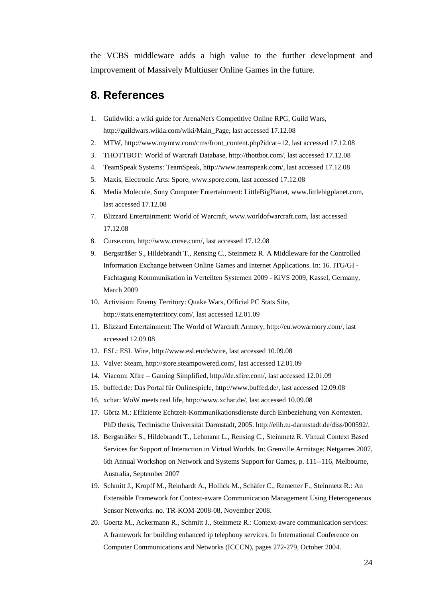the VCBS middleware adds a high value to the further development and improvement of Massively Multiuser Online Games in the future.

## **8. References**

- 1. Guildwiki: a wiki guide for ArenaNet's Competitive Online RPG, Guild Wars, http://guildwars.wikia.com/wiki/Main\_Page, last accessed 17.12.08
- 2. MTW, http://www.mymtw.com/cms/front\_content.php?idcat=12, last accessed 17.12.08
- 3. THOTTBOT: World of Warcraft Database, http://thottbot.com/, last accessed 17.12.08
- 4. TeamSpeak Systems: TeamSpeak, http://www.teamspeak.com/, last accessed 17.12.08
- 5. Maxis, Electronic Arts: Spore, www.spore.com, last accessed 17.12.08
- 6. Media Molecule, Sony Computer Entertainment: LittleBigPlanet, www.littlebigplanet.com, last accessed 17.12.08
- 7. Blizzard Entertainment: World of Warcraft, www.worldofwarcraft.com, last accessed 17.12.08
- 8. Curse.com, http://www.curse.com/, last accessed 17.12.08
- 9. Bergsträßer S., Hildebrandt T., Rensing C., Steinmetz R. A Middleware for the Controlled Information Exchange between Online Games and Internet Applications. In: 16. ITG/GI - Fachtagung Kommunikation in Verteilten Systemen 2009 - KiVS 2009, Kassel, Germany*,*  March 2009
- 10. Activision: Enemy Territory: Quake Wars, Official PC Stats Site, http://stats.enemyterritory.com/, last accessed 12.01.09
- 11. Blizzard Entertainment: The World of Warcraft Armory, http://eu.wowarmory.com/, last accessed 12.09.08
- 12. ESL: ESL Wire, http://www.esl.eu/de/wire, last accessed 10.09.08
- 13. Valve: Steam, http://store.steampowered.com/, last accessed 12.01.09
- 14. Viacom: Xfire Gaming Simplified, http://de.xfire.com/, last accessed 12.01.09
- 15. buffed.de: Das Portal für Onlinespiele, http://www.buffed.de/, last accessed 12.09.08
- 16. xchar: WoW meets real life, http://www.xchar.de/, last accessed 10.09.08
- 17. Görtz M.: Effiziente Echtzeit-Kommunikationsdienste durch Einbeziehung von Kontexten. PhD thesis, Technische Universität Darmstadt, 2005. http://elib.tu-darmstadt.de/diss/000592/.
- 18. Bergsträßer S., Hildebrandt T., Lehmann L., Rensing C., Steinmetz R. Virtual Context Based Services for Support of Interaction in Virtual Worlds. In: Grenville Armitage: Netgames 2007, 6th Annual Workshop on Network and Systems Support for Games, p. 111--116, Melbourne, Australia, September 2007
- 19. Schmitt J., Kropff M., Reinhardt A., Hollick M., Schäfer C., Remetter F., Steinmetz R.: An Extensible Framework for Context-aware Communication Management Using Heterogeneous Sensor Networks. no. TR-KOM-2008-08, November 2008.
- 20. Goertz M., Ackermann R., Schmitt J., Steinmetz R.: Context-aware communication services: A framework for building enhanced ip telephony services. In International Conference on Computer Communications and Networks (ICCCN), pages 272-279, October 2004.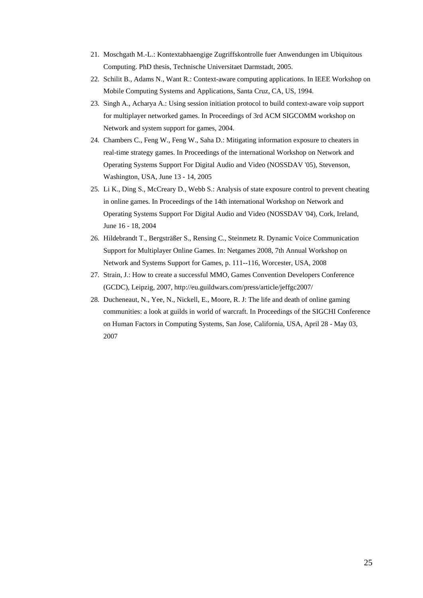- 21. Moschgath M.-L.: Kontextabhaengige Zugriffskontrolle fuer Anwendungen im Ubiquitous Computing. PhD thesis, Technische Universitaet Darmstadt, 2005.
- 22. Schilit B., Adams N., Want R.: Context-aware computing applications. In IEEE Workshop on Mobile Computing Systems and Applications, Santa Cruz, CA, US, 1994.
- 23. Singh A., Acharya A.: Using session initiation protocol to build context-aware voip support for multiplayer networked games. In Proceedings of 3rd ACM SIGCOMM workshop on Network and system support for games, 2004.
- 24. Chambers C., Feng W., Feng W., Saha D.: Mitigating information exposure to cheaters in real-time strategy games. In Proceedings of the international Workshop on Network and Operating Systems Support For Digital Audio and Video (NOSSDAV '05), Stevenson, Washington, USA, June 13 - 14, 2005
- 25. Li K., Ding S., McCreary D., Webb S.: Analysis of state exposure control to prevent cheating in online games. In Proceedings of the 14th international Workshop on Network and Operating Systems Support For Digital Audio and Video (NOSSDAV '04), Cork, Ireland, June 16 - 18, 2004
- 26. Hildebrandt T., Bergsträßer S., Rensing C., Steinmetz R. Dynamic Voice Communication Support for Multiplayer Online Games. In: Netgames 2008, 7th Annual Workshop on Network and Systems Support for Games, p. 111--116, Worcester, USA, 2008
- 27. Strain, J.: How to create a successful MMO, Games Convention Developers Conference (GCDC), Leipzig, 2007, http://eu.guildwars.com/press/article/jeffgc2007/
- 28. Ducheneaut, N., Yee, N., Nickell, E., Moore, R. J: The life and death of online gaming communities: a look at guilds in world of warcraft. In Proceedings of the SIGCHI Conference on Human Factors in Computing Systems, San Jose, California, USA, April 28 - May 03, 2007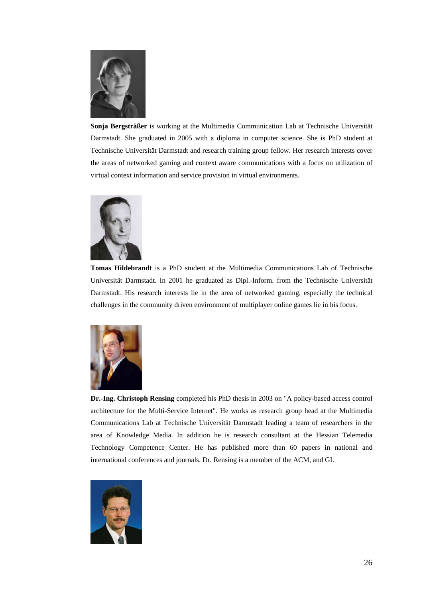

**Sonja Bergsträßer** is working at the Multimedia Communication Lab at Technische Universität Darmstadt. She graduated in 2005 with a diploma in computer science. She is PhD student at Technische Universität Darmstadt and research training group fellow. Her research interests cover the areas of networked gaming and context aware communications with a focus on utilization of virtual context information and service provision in virtual environments.



**Tomas Hildebrandt** is a PhD student at the Multimedia Communications Lab of Technische Universität Darmstadt. In 2001 he graduated as Dipl.-Inform. from the Technische Universität Darmstadt. His research interests lie in the area of networked gaming, especially the technical challenges in the community driven environment of multiplayer online games lie in his focus.



**Dr.-Ing. Christoph Rensing** completed his PhD thesis in 2003 on "A policy-based access control architecture for the Multi-Service Internet". He works as research group head at the Multimedia Communications Lab at Technische Universität Darmstadt leading a team of researchers in the area of Knowledge Media. In addition he is research consultant at the Hessian Telemedia Technology Competence Center. He has published more than 60 papers in national and international conferences and journals. Dr. Rensing is a member of the ACM, and GI.